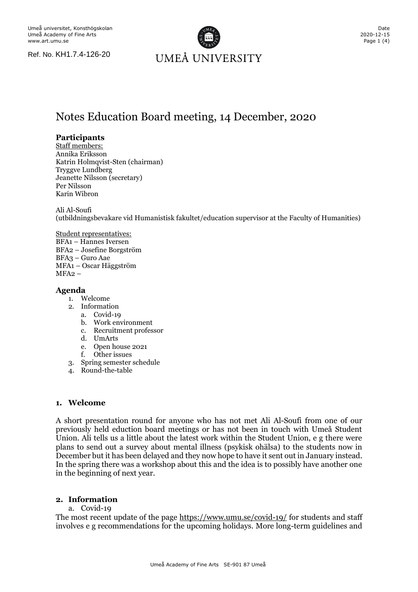Ref. No. KH1.7.4-126-20



# Notes Education Board meeting, 14 December, 2020

# **Participants**

Staff members: Annika Eriksson Katrin Holmqvist-Sten (chairman) Tryggve Lundberg Jeanette Nilsson (secretary) Per Nilsson Karin Wibron

Ali Al-Soufi

(utbildningsbevakare vid Humanistisk fakultet/education supervisor at the Faculty of Humanities)

Student representatives: BFA1 – Hannes Iversen BFA2 – Josefine Borgström BFA3 – Guro Aae MFA1 – Oscar Häggström MFA2 –

# **Agenda**

- 1. Welcome
- 2. Information
	- a. Covid-19
	- b. Work environment
	- c. Recruitment professor
	- d. UmArts
	- e. Open house 2021
	- Other issues
- 3. Spring semester schedule
- 4. Round-the-table

## **1. Welcome**

A short presentation round for anyone who has not met Ali Al-Soufi from one of our previously held eduction board meetings or has not been in touch with Umeå Student Union. Ali tells us a little about the latest work within the Student Union, e g there were plans to send out a survey about mental illness (psykisk ohälsa) to the students now in December but it has been delayed and they now hope to have it sent out in January instead. In the spring there was a workshop about this and the idea is to possibly have another one in the beginning of next year.

# **2. Information**

a. Covid-19

The most recent update of the page<https://www.umu.se/covid-19/> for students and staff involves e g recommendations for the upcoming holidays. More long-term guidelines and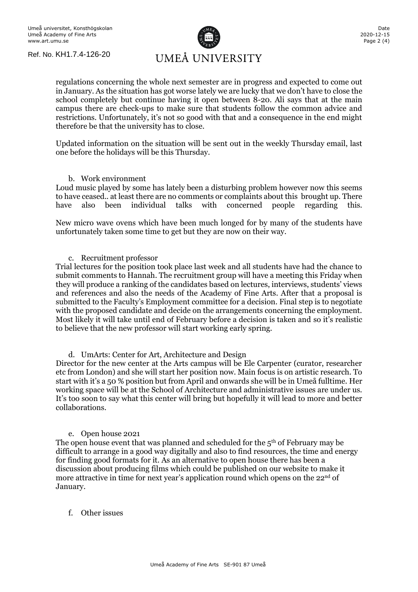Ref. No. KH1.7.4-126-20



regulations concerning the whole next semester are in progress and expected to come out in January. As the situation has got worse lately we are lucky that we don't have to close the school completely but continue having it open between 8-20. Ali says that at the main campus there are check-ups to make sure that students follow the common advice and restrictions. Unfortunately, it's not so good with that and a consequence in the end might therefore be that the university has to close.

Updated information on the situation will be sent out in the weekly Thursday email, last one before the holidays will be this Thursday.

#### b. Work environment

Loud music played by some has lately been a disturbing problem however now this seems to have ceased.. at least there are no comments or complaints about this brought up. There have also been individual talks with concerned people regarding this.

New micro wave ovens which have been much longed for by many of the students have unfortunately taken some time to get but they are now on their way.

c. Recruitment professor

Trial lectures for the position took place last week and all students have had the chance to submit comments to Hannah. The recruitment group will have a meeting this Friday when they will produce a ranking of the candidates based on lectures, interviews, students' views and references and also the needs of the Academy of Fine Arts. After that a proposal is submitted to the Faculty's Employment committee for a decision. Final step is to negotiate with the proposed candidate and decide on the arrangements concerning the employment. Most likely it will take until end of February before a decision is taken and so it's realistic to believe that the new professor will start working early spring.

d. UmArts: Center for Art, Architecture and Design

Director for the new center at the Arts campus will be Ele Carpenter (curator, researcher etc from London) and she will start her position now. Main focus is on artistic research. To start with it's a 50 % position but from April and onwards she will be in Umeå fulltime. Her working space will be at the School of Architecture and administrative issues are under us. It's too soon to say what this center will bring but hopefully it will lead to more and better collaborations.

#### e. Open house 2021

The open house event that was planned and scheduled for the  $5<sup>th</sup>$  of February may be difficult to arrange in a good way digitally and also to find resources, the time and energy for finding good formats for it. As an alternative to open house there has been a discussion about producing films which could be published on our website to make it more attractive in time for next year's application round which opens on the  $22<sup>nd</sup>$  of January.

## f. Other issues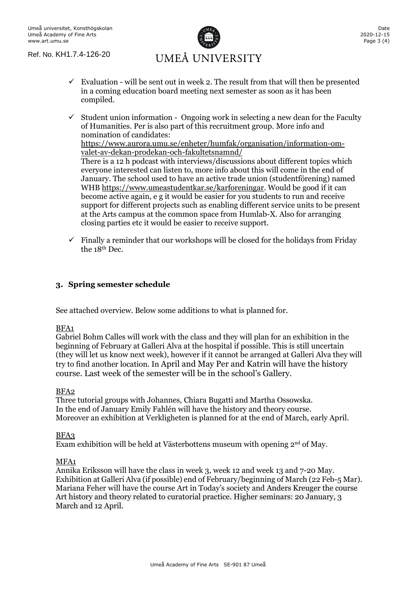

- $\checkmark$  Evaluation will be sent out in week 2. The result from that will then be presented in a coming education board meeting next semester as soon as it has been compiled.
- $\checkmark$  Student union information Ongoing work in selecting a new dean for the Faculty of Humanities. Per is also part of this recruitment group. More info and nomination of candidates: [https://www.aurora.umu.se/enheter/humfak/organisation/information-om](https://www.aurora.umu.se/enheter/humfak/organisation/information-om-valet-av-dekan-prodekan-och-fakultetsnamnd/)[valet-av-dekan-prodekan-och-fakultetsnamnd/](https://www.aurora.umu.se/enheter/humfak/organisation/information-om-valet-av-dekan-prodekan-och-fakultetsnamnd/) There is a 12 h podcast with interviews/discussions about different topics which everyone interested can listen to, more info about this will come in the end of January. The school used to have an active trade union (studentförening) named WHB [https://www.umeastudentkar.se/karforeningar.](https://www.umeastudentkar.se/karforeningar) Would be good if it can become active again, e g it would be easier for you students to run and receive support for different projects such as enabling different service units to be present at the Arts campus at the common space from Humlab-X. Also for arranging closing parties etc it would be easier to receive support.
- $\checkmark$  Finally a reminder that our workshops will be closed for the holidays from Friday the 18<sup>th</sup> Dec.

# **3. Spring semester schedule**

See attached overview. Below some additions to what is planned for.

## BFA1

Gabriel Bohm Calles will work with the class and they will plan for an exhibition in the beginning of February at Galleri Alva at the hospital if possible. This is still uncertain (they will let us know next week), however if it cannot be arranged at Galleri Alva they will try to find another location. In April and May Per and Katrin will have the history course. Last week of the semester will be in the school's Gallery.

## BFA2

Three tutorial groups with Johannes, Chiara Bugatti and Martha Ossowska. In the end of January Emily Fahlén will have the history and theory course. Moreover an exhibition at Verkligheten is planned for at the end of March, early April.

## BFA3

Exam exhibition will be held at Västerbottens museum with opening  $2<sup>nd</sup>$  of May.

## MFA1

Annika Eriksson will have the class in week 3, week 12 and week 13 and 7-20 May. Exhibition at Galleri Alva (if possible) end of February/beginning of March (22 Feb-5 Mar). Mariana Feher will have the course Art in Today's society and Anders Kreuger the course Art history and theory related to curatorial practice. Higher seminars: 20 January, 3 March and 12 April.